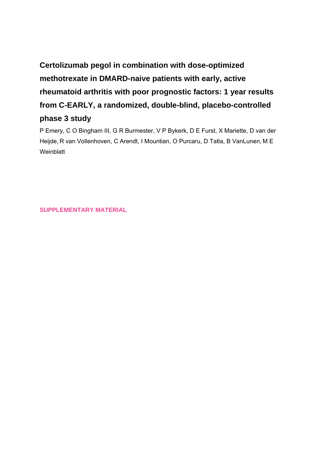# **Certolizumab pegol in combination with dose-optimized methotrexate in DMARD-naive patients with early, active rheumatoid arthritis with poor prognostic factors: 1 year results from C-EARLY, a randomized, double-blind, placebo-controlled phase 3 study**

P Emery, C O Bingham III, G R Burmester, V P Bykerk, D E Furst, X Mariette, D van der Heijde, R van Vollenhoven, C Arendt, I Mountian, O Purcaru, D Tatla, B VanLunen, M E **Weinblatt** 

**SUPPLEMENTARY MATERIAL**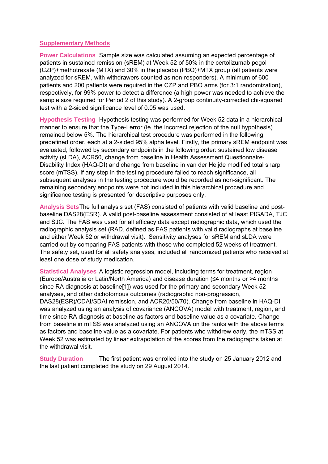#### **Supplementary Methods**

**Power Calculations** Sample size was calculated assuming an expected percentage of patients in sustained remission (sREM) at Week 52 of 50% in the certolizumab pegol (CZP)+methotrexate (MTX) and 30% in the placebo (PBO)+MTX group (all patients were analyzed for sREM, with withdrawers counted as non-responders). A minimum of 600 patients and 200 patients were required in the CZP and PBO arms (for 3:1 randomization), respectively, for 99% power to detect a difference (a high power was needed to achieve the sample size required for Period 2 of this study). A 2-group continuity-corrected chi-squared test with a 2-sided significance level of 0.05 was used.

**Hypothesis Testing** Hypothesis testing was performed for Week 52 data in a hierarchical manner to ensure that the Type-I error (ie. the incorrect rejection of the null hypothesis) remained below 5%. The hierarchical test procedure was performed in the following predefined order, each at a 2-sided 95% alpha level. Firstly, the primary sREM endpoint was evaluated, followed by secondary endpoints in the following order: sustained low disease activity (sLDA), ACR50, change from baseline in Health Assessment Questionnaire-Disability Index (HAQ-DI) and change from baseline in van der Heijde modified total sharp score (mTSS). If any step in the testing procedure failed to reach significance, all subsequent analyses in the testing procedure would be recorded as non-significant. The remaining secondary endpoints were not included in this hierarchical procedure and significance testing is presented for descriptive purposes only.

**Analysis Sets** The full analysis set (FAS) consisted of patients with valid baseline and postbaseline DAS28(ESR). A valid post-baseline assessment consisted of at least PtGADA, TJC and SJC. The FAS was used for all efficacy data except radiographic data, which used the radiographic analysis set (RAD, defined as FAS patients with valid radiographs at baseline and either Week 52 or withdrawal visit). Sensitivity analyses for sREM and sLDA were carried out by comparing FAS patients with those who completed 52 weeks of treatment. The safety set, used for all safety analyses, included all randomized patients who received at least one dose of study medication.

**Statistical Analyses** A logistic regression model, including terms for treatment, region (Europe/Australia or Latin/North America) and disease duration (≤4 months or >4 months since RA diagnosis at baseline[1]) was used for the primary and secondary Week 52 analyses, and other dichotomous outcomes (radiographic non-progression, DAS28(ESR)/CDAI/SDAI remission, and ACR20/50/70). Change from baseline in HAQ-DI was analyzed using an analysis of covariance (ANCOVA) model with treatment, region, and time since RA diagnosis at baseline as factors and baseline value as a covariate. Change from baseline in mTSS was analyzed using an ANCOVA on the ranks with the above terms as factors and baseline value as a covariate. For patients who withdrew early, the mTSS at Week 52 was estimated by linear extrapolation of the scores from the radiographs taken at the withdrawal visit.

**Study Duration** The first patient was enrolled into the study on 25 January 2012 and the last patient completed the study on 29 August 2014.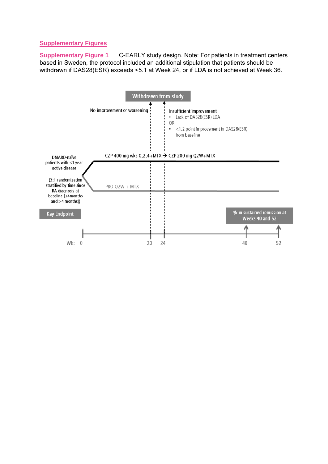## **Supplementary Figures**

**Supplementary Figure 1** C-EARLY study design. Note: For patients in treatment centers based in Sweden, the protocol included an additional stipulation that patients should be withdrawn if DAS28(ESR) exceeds <5.1 at Week 24, or if LDA is not achieved at Week 36.

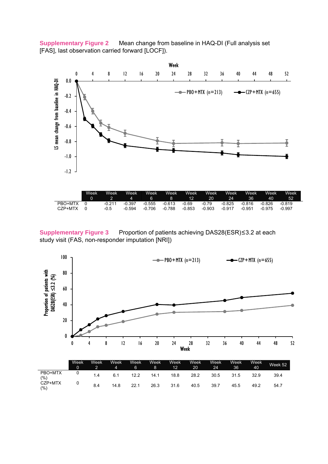**Supplementary Figure 2** Mean change from baseline in HAQ-DI (Full analysis set [FAS], last observation carried forward [LOCF]).



**Supplementary Figure 3** Proportion of patients achieving DAS28(ESR)≤3.2 at each study visit (FAS, non-responder imputation [NRI])



|                | Week<br>0 | Week | Week | Week<br>6 | Week<br>8 | Week<br>12 | Week<br>20 | Week<br>24 | Week<br>36 | Week<br>40 | Week 52 |
|----------------|-----------|------|------|-----------|-----------|------------|------------|------------|------------|------------|---------|
| PBO+MTX<br>(%) |           | 1.4  | 6.1  | 12.2      | 14.1      | 18.8       | 28.2       | 30.5       | 31.5       | 32.9       | 39.4    |
| CZP+MTX<br>(%) |           | 8.4  | 14.8 | 22.1      | 26.3      | 31.6       | 40.5       | 39.7       | 45.5       | 49.2       | 54.7    |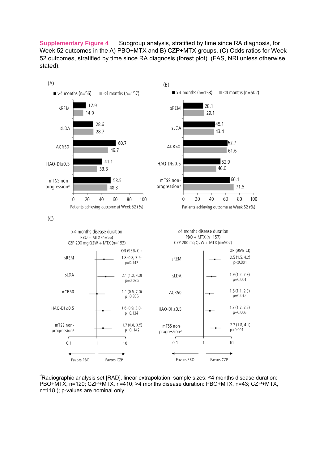**Supplementary Figure 4** Subgroup analysis, stratified by time since RA diagnosis, for Week 52 outcomes in the A) PBO+MTX and B) CZP+MTX groups. (C) Odds ratios for Week 52 outcomes, stratified by time since RA diagnosis (forest plot). (FAS, NRI unless otherwise stated).



<sup>a</sup>Radiographic analysis set [RAD], linear extrapolation; sample sizes: ≤4 months disease duration: PBO+MTX, n=120; CZP+MTX, n=410; >4 months disease duration: PBO+MTX, n=43; CZP+MTX, n=118.); p-values are nominal only.